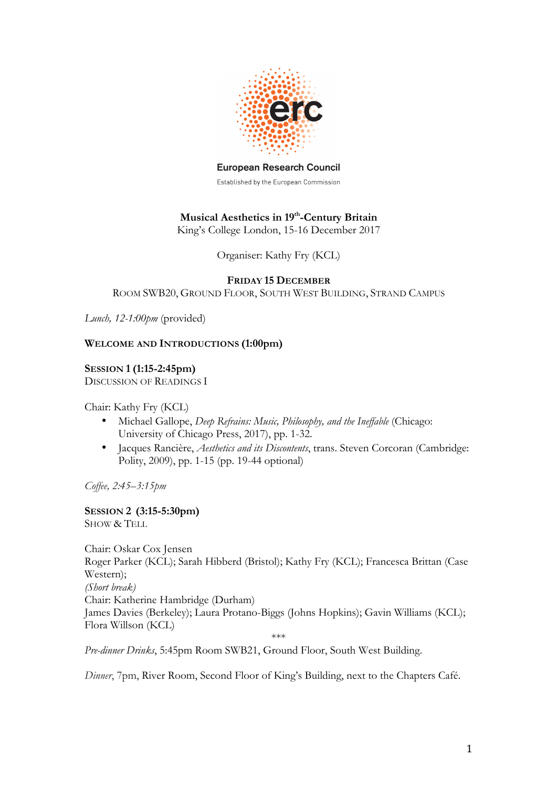

**European Research Council** 

Established by the European Commission

# **Musical Aesthetics in 19th-Century Britain**

King's College London, 15-16 December 2017

Organiser: Kathy Fry (KCL)

### **FRIDAY 15 DECEMBER**

ROOM SWB20, GROUND FLOOR, SOUTH WEST BUILDING, STRAND CAMPUS

*Lunch, 12-1:00pm* (provided)

# **WELCOME AND INTRODUCTIONS (1:00pm)**

**SESSION 1(1:15-2:45pm)** DISCUSSION OF READINGS I

Chair: Kathy Fry (KCL)

- Michael Gallope, *Deep Refrains: Music, Philosophy, and the Ineffable* (Chicago: University of Chicago Press, 2017), pp. 1-32.
- Jacques Rancière, *Aesthetics and its Discontents*, trans. Steven Corcoran (Cambridge: Polity, 2009), pp. 1-15 (pp. 19-44 optional)

*Coffee, 2:45–3:15pm*

**SESSION 2 (3:15-5:30pm)** SHOW & TELL

Chair: Oskar Cox Jensen Roger Parker (KCL); Sarah Hibberd (Bristol); Kathy Fry (KCL); Francesca Brittan (Case Western); *(Short break)* Chair: Katherine Hambridge (Durham) James Davies (Berkeley); Laura Protano-Biggs (Johns Hopkins); Gavin Williams (KCL); Flora Willson (KCL)

\*\*\*

*Pre-dinner Drinks*, 5:45pm Room SWB21, Ground Floor, South West Building.

*Dinner*, 7pm, River Room, Second Floor of King's Building, next to the Chapters Café.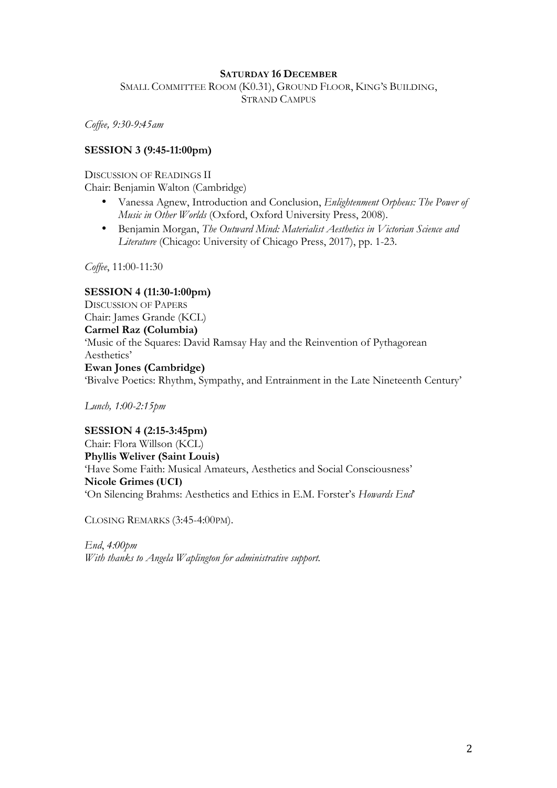#### **SATURDAY 16 DECEMBER**

SMALL COMMITTEE ROOM (K0.31), GROUND FLOOR, KING'S BUILDING, STRAND CAMPUS

*Coffee, 9:30-9:45am*

## **SESSION 3 (9:45-11:00pm)**

#### DISCUSSION OF READINGS II

Chair: Benjamin Walton (Cambridge)

- Vanessa Agnew, Introduction and Conclusion, *Enlightenment Orpheus: The Power of Music in Other Worlds* (Oxford, Oxford University Press, 2008).
- Benjamin Morgan, *The Outward Mind: Materialist Aesthetics in Victorian Science and Literature* (Chicago: University of Chicago Press, 2017), pp. 1-23.

*Coffee*, 11:00-11:30

**SESSION 4 (11:30-1:00pm)** DISCUSSION OF PAPERS Chair: James Grande (KCL) **Carmel Raz (Columbia)** 'Music of the Squares: David Ramsay Hay and the Reinvention of Pythagorean Aesthetics' **Ewan Jones (Cambridge)**  'Bivalve Poetics: Rhythm, Sympathy, and Entrainment in the Late Nineteenth Century'

*Lunch, 1:00-2:15pm*

**SESSION 4 (2:15-3:45pm)** Chair: Flora Willson (KCL) **Phyllis Weliver (Saint Louis)** 'Have Some Faith: Musical Amateurs, Aesthetics and Social Consciousness' **Nicole Grimes (UCI)** 'On Silencing Brahms: Aesthetics and Ethics in E.M. Forster's *Howards End*'

CLOSING REMARKS (3:45-4:00PM).

*End*, *4:00pm With thanks to Angela Waplington for administrative support.*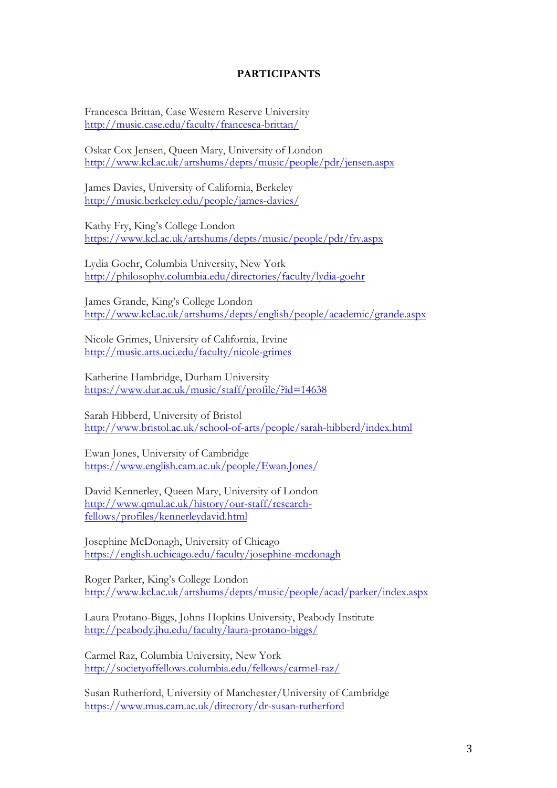#### **PARTICIPANTS**

Francesca Brittan, Case Western Reserve University http://music.case.edu/faculty/francesca-brittan/

Oskar Cox Jensen, Queen Mary, University of London http://www.kcl.ac.uk/artshums/depts/music/people/pdr/jensen.aspx

James Davies, University of California, Berkeley http://music.berkeley.edu/people/james-davies/

Kathy Fry, King's College London https://www.kcl.ac.uk/artshums/depts/music/people/pdr/fry.aspx

Lydia Goehr, Columbia University, New York http://philosophy.columbia.edu/directories/faculty/lydia-goehr

James Grande, King's College London http://www.kcl.ac.uk/artshums/depts/english/people/academic/grande.aspx

Nicole Grimes, University of California, Irvine http://music.arts.uci.edu/faculty/nicole-grimes

Katherine Hambridge, Durham University https://www.dur.ac.uk/music/staff/profile/?id=14638

Sarah Hibberd, University of Bristol http://www.bristol.ac.uk/school-of-arts/people/sarah-hibberd/index.html

Ewan Jones, University of Cambridge https://www.english.cam.ac.uk/people/Ewan.Jones/

David Kennerley, Queen Mary, University of London http://www.qmul.ac.uk/history/our-staff/researchfellows/profiles/kennerleydavid.html

Josephine McDonagh, University of Chicago https://english.uchicago.edu/faculty/josephine-mcdonagh

Roger Parker, King's College London http://www.kcl.ac.uk/artshums/depts/music/people/acad/parker/index.aspx

Laura Protano-Biggs, Johns Hopkins University, Peabody Institute http://peabody.jhu.edu/faculty/laura-protano-biggs/

Carmel Raz, Columbia University, New York http://societyoffellows.columbia.edu/fellows/carmel-raz/

Susan Rutherford, University of Manchester/University of Cambridge https://www.mus.cam.ac.uk/directory/dr-susan-rutherford